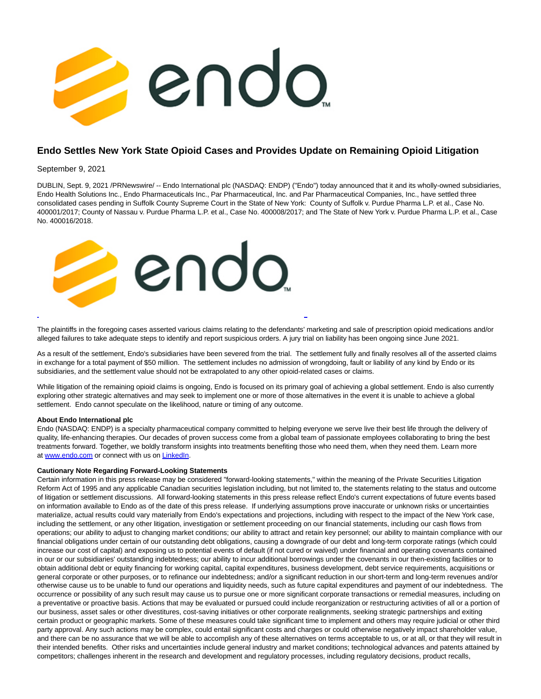

## **Endo Settles New York State Opioid Cases and Provides Update on Remaining Opioid Litigation**

September 9, 2021

DUBLIN, Sept. 9, 2021 /PRNewswire/ -- Endo International plc (NASDAQ: ENDP) ("Endo") today announced that it and its wholly-owned subsidiaries, Endo Health Solutions Inc., Endo Pharmaceuticals Inc., Par Pharmaceutical, Inc. and Par Pharmaceutical Companies, Inc., have settled three consolidated cases pending in Suffolk County Supreme Court in the State of New York: County of Suffolk v. Purdue Pharma L.P. et al., Case No. 400001/2017; County of Nassau v. Purdue Pharma L.P. et al., Case No. 400008/2017; and The State of New York v. Purdue Pharma L.P. et al., Case No. 400016/2018.



The plaintiffs in the foregoing cases asserted various claims relating to the defendants' marketing and sale of prescription opioid medications and/or alleged failures to take adequate steps to identify and report suspicious orders. A jury trial on liability has been ongoing since June 2021.

L

As a result of the settlement, Endo's subsidiaries have been severed from the trial. The settlement fully and finally resolves all of the asserted claims in exchange for a total payment of \$50 million. The settlement includes no admission of wrongdoing, fault or liability of any kind by Endo or its subsidiaries, and the settlement value should not be extrapolated to any other opioid-related cases or claims.

While litigation of the remaining opioid claims is ongoing, Endo is focused on its primary goal of achieving a global settlement. Endo is also currently exploring other strategic alternatives and may seek to implement one or more of those alternatives in the event it is unable to achieve a global settlement. Endo cannot speculate on the likelihood, nature or timing of any outcome.

## **About Endo International plc**

Endo (NASDAQ: ENDP) is a specialty pharmaceutical company committed to helping everyone we serve live their best life through the delivery of quality, life-enhancing therapies. Our decades of proven success come from a global team of passionate employees collaborating to bring the best treatments forward. Together, we boldly transform insights into treatments benefiting those who need them, when they need them. Learn more at [www.endo.com o](https://c212.net/c/link/?t=0&l=en&o=3285602-1&h=2672572788&u=https%3A%2F%2Fc212.net%2Fc%2Flink%2F%3Ft%3D0%26l%3Den%26o%3D3230331-1%26h%3D1471516959%26u%3Dhttps%253A%252F%252Fc212.net%252Fc%252Flink%252F%253Ft%253D0%2526l%253Den%2526o%253D3121613-1%2526h%253D3483267458%2526u%253Dhttps%25253A%25252F%25252Fc212.net%25252Fc%25252Flink%25252F%25253Ft%25253D0%252526l%25253Den%252526o%25253D3079430-1%252526h%25253D3206230346%252526u%25253Dhttps%2525253A%2525252F%2525252Fc212.net%2525252Fc%2525252Flink%2525252F%2525253Ft%2525253D0%25252526l%2525253Den%25252526o%2525253D3046316-1%25252526h%2525253D2833805295%25252526u%2525253Dhttp%252525253A%252525252F%252525252Fwww.endo.com%252525252F%25252526a%2525253Dwww.endo.com%252526a%25253Dwww.endo.com%2526a%253Dwww.endo.com%26a%3Dwww.endo.com&a=www.endo.com)r connect with us on [LinkedIn.](https://c212.net/c/link/?t=0&l=en&o=3285602-1&h=1094451574&u=https%3A%2F%2Fc212.net%2Fc%2Flink%2F%3Ft%3D0%26l%3Den%26o%3D3230331-1%26h%3D989398672%26u%3Dhttps%253A%252F%252Fc212.net%252Fc%252Flink%252F%253Ft%253D0%2526l%253Den%2526o%253D3121613-1%2526h%253D92289271%2526u%253Dhttps%25253A%25252F%25252Fc212.net%25252Fc%25252Flink%25252F%25253Ft%25253D0%252526l%25253Den%252526o%25253D3079430-1%252526h%25253D2466357281%252526u%25253Dhttps%2525253A%2525252F%2525252Fc212.net%2525252Fc%2525252Flink%2525252F%2525253Ft%2525253D0%25252526l%2525253Den%25252526o%2525253D3046316-1%25252526h%2525253D912962607%25252526u%2525253Dhttps%252525253A%252525252F%252525252Fc212.net%252525252Fc%252525252Flink%252525252F%252525253Ft%252525253D0%2525252526l%252525253Den%2525252526o%252525253D3020173-1%2525252526h%252525253D1464673207%2525252526u%252525253Dhttps%25252525253A%25252525252F%25252525252Fwww.linkedin.com%25252525252Fcompany%25252525252Fendo-international%25252525252F%2525252526a%252525253DLinkedIn%25252526a%2525253DLinkedIn%252526a%25253DLinkedIn%2526a%253DLinkedIn%26a%3DLinkedIn&a=LinkedIn)

## **Cautionary Note Regarding Forward-Looking Statements**

Certain information in this press release may be considered "forward-looking statements," within the meaning of the Private Securities Litigation Reform Act of 1995 and any applicable Canadian securities legislation including, but not limited to, the statements relating to the status and outcome of litigation or settlement discussions. All forward-looking statements in this press release reflect Endo's current expectations of future events based on information available to Endo as of the date of this press release. If underlying assumptions prove inaccurate or unknown risks or uncertainties materialize, actual results could vary materially from Endo's expectations and projections, including with respect to the impact of the New York case, including the settlement, or any other litigation, investigation or settlement proceeding on our financial statements, including our cash flows from operations; our ability to adjust to changing market conditions; our ability to attract and retain key personnel; our ability to maintain compliance with our financial obligations under certain of our outstanding debt obligations, causing a downgrade of our debt and long-term corporate ratings (which could increase our cost of capital) and exposing us to potential events of default (if not cured or waived) under financial and operating covenants contained in our or our subsidiaries' outstanding indebtedness; our ability to incur additional borrowings under the covenants in our then-existing facilities or to obtain additional debt or equity financing for working capital, capital expenditures, business development, debt service requirements, acquisitions or general corporate or other purposes, or to refinance our indebtedness; and/or a significant reduction in our short-term and long-term revenues and/or otherwise cause us to be unable to fund our operations and liquidity needs, such as future capital expenditures and payment of our indebtedness. The occurrence or possibility of any such result may cause us to pursue one or more significant corporate transactions or remedial measures, including on a preventative or proactive basis. Actions that may be evaluated or pursued could include reorganization or restructuring activities of all or a portion of our business, asset sales or other divestitures, cost-saving initiatives or other corporate realignments, seeking strategic partnerships and exiting certain product or geographic markets. Some of these measures could take significant time to implement and others may require judicial or other third party approval. Any such actions may be complex, could entail significant costs and charges or could otherwise negatively impact shareholder value, and there can be no assurance that we will be able to accomplish any of these alternatives on terms acceptable to us, or at all, or that they will result in their intended benefits. Other risks and uncertainties include general industry and market conditions; technological advances and patents attained by competitors; challenges inherent in the research and development and regulatory processes, including regulatory decisions, product recalls,